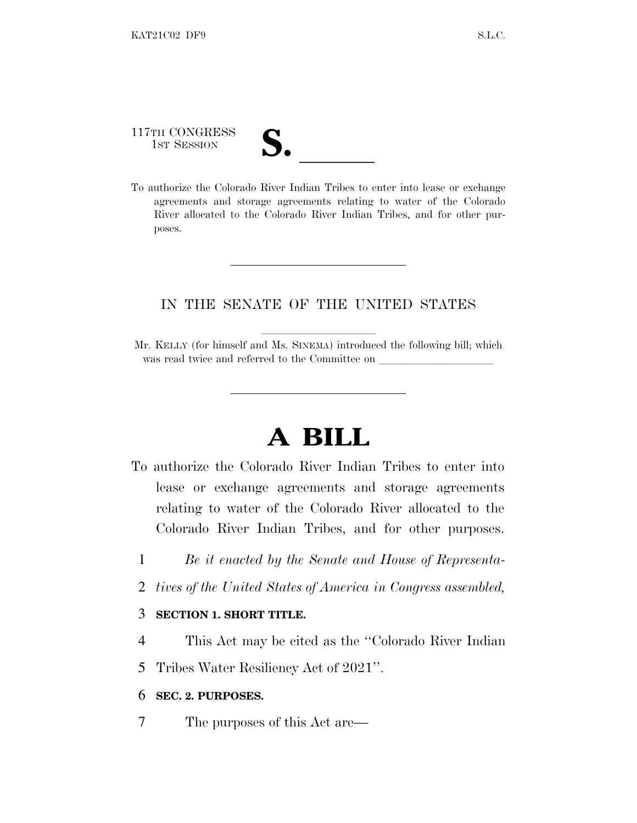117TH CONGRESS

117TH CONGRESS<br>
1ST SESSION<br>
To authorize the Colorado River Indian Tribes to enter into lease or exchange agreements and storage agreements relating to water of the Colorado River allocated to the Colorado River Indian Tribes, and for other purposes.

# IN THE SENATE OF THE UNITED STATES

Mr. KELLY (for himself and Ms. SINEMA) introduced the following bill; which was read twice and referred to the Committee on

# **A BILL**

- To authorize the Colorado River Indian Tribes to enter into lease or exchange agreements and storage agreements relating to water of the Colorado River allocated to the Colorado River Indian Tribes, and for other purposes.
	- 1 *Be it enacted by the Senate and House of Representa-*
	- 2 *tives of the United States of America in Congress assembled,*

#### 3 **SECTION 1. SHORT TITLE.**

4 This Act may be cited as the ''Colorado River Indian

5 Tribes Water Resiliency Act of 2021''.

#### 6 **SEC. 2. PURPOSES.**

7 The purposes of this Act are—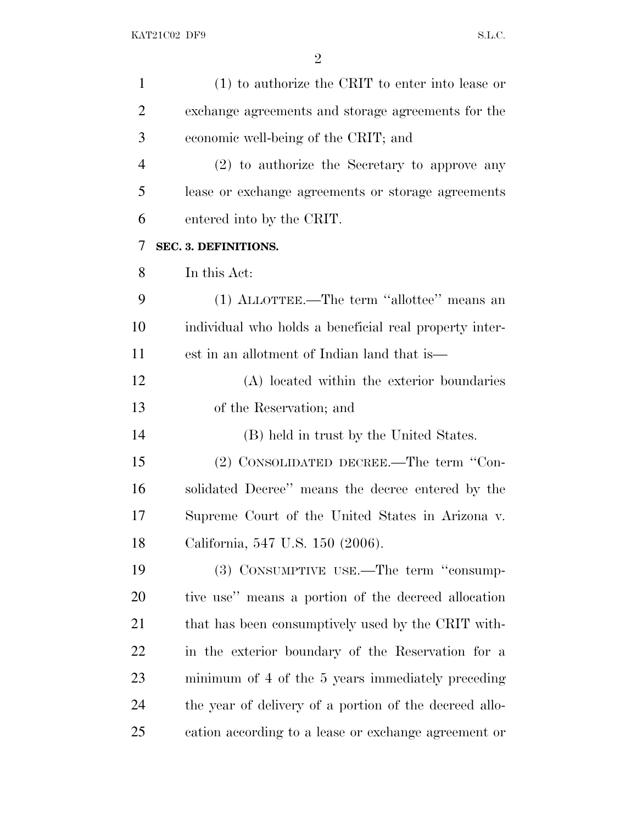| $\mathbf{1}$   | (1) to authorize the CRIT to enter into lease or       |
|----------------|--------------------------------------------------------|
| $\overline{2}$ | exchange agreements and storage agreements for the     |
| 3              | economic well-being of the CRIT; and                   |
| $\overline{4}$ | (2) to authorize the Secretary to approve any          |
| 5              | lease or exchange agreements or storage agreements     |
| 6              | entered into by the CRIT.                              |
| 7              | SEC. 3. DEFINITIONS.                                   |
| 8              | In this Act:                                           |
| 9              | (1) ALLOTTEE.—The term "allottee" means an             |
| 10             | individual who holds a beneficial real property inter- |
| 11             | est in an allotment of Indian land that is—            |
| 12             | (A) located within the exterior boundaries             |
| 13             | of the Reservation; and                                |
| 14             | (B) held in trust by the United States.                |
| 15             | (2) CONSOLIDATED DECREE.—The term "Con-                |
| 16             | solidated Decree" means the decree entered by the      |
| 17             | Supreme Court of the United States in Arizona v.       |
| 18             | California, 547 U.S. 150 (2006).                       |
| 19             | (3) CONSUMPTIVE USE.—The term "consump-                |
| 20             | tive use" means a portion of the decreed allocation    |
| 21             | that has been consumptively used by the CRIT with-     |
| 22             | in the exterior boundary of the Reservation for a      |
| 23             | minimum of 4 of the 5 years immediately preceding      |
| 24             | the year of delivery of a portion of the decreed allo- |
| 25             | cation according to a lease or exchange agreement or   |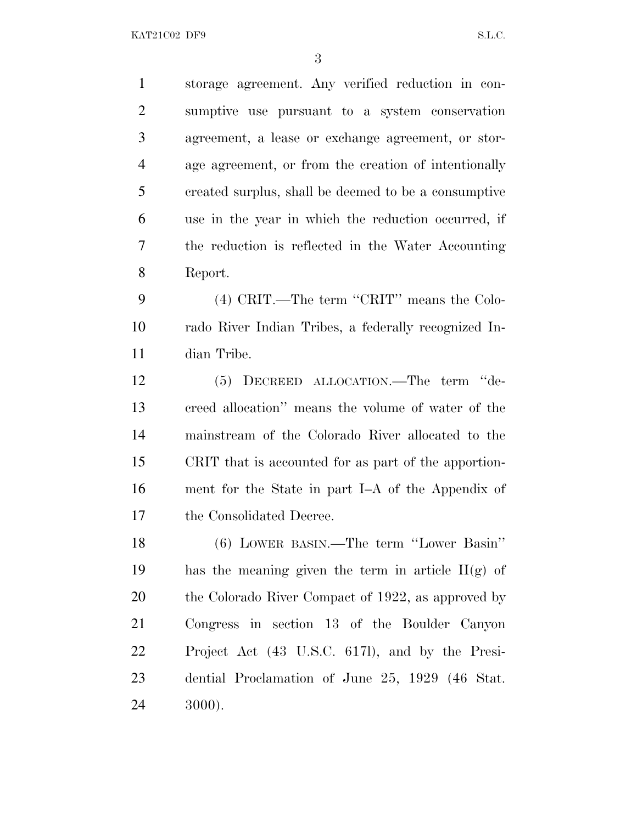storage agreement. Any verified reduction in con- sumptive use pursuant to a system conservation agreement, a lease or exchange agreement, or stor- age agreement, or from the creation of intentionally created surplus, shall be deemed to be a consumptive use in the year in which the reduction occurred, if the reduction is reflected in the Water Accounting Report.

 (4) CRIT.—The term ''CRIT'' means the Colo- rado River Indian Tribes, a federally recognized In-dian Tribe.

 (5) DECREED ALLOCATION.—The term ''de- creed allocation'' means the volume of water of the mainstream of the Colorado River allocated to the CRIT that is accounted for as part of the apportion- ment for the State in part I–A of the Appendix of the Consolidated Decree.

 (6) LOWER BASIN.—The term ''Lower Basin'' 19 has the meaning given the term in article  $II(g)$  of 20 the Colorado River Compact of 1922, as approved by Congress in section 13 of the Boulder Canyon Project Act (43 U.S.C. 617l), and by the Presi- dential Proclamation of June 25, 1929 (46 Stat. 3000).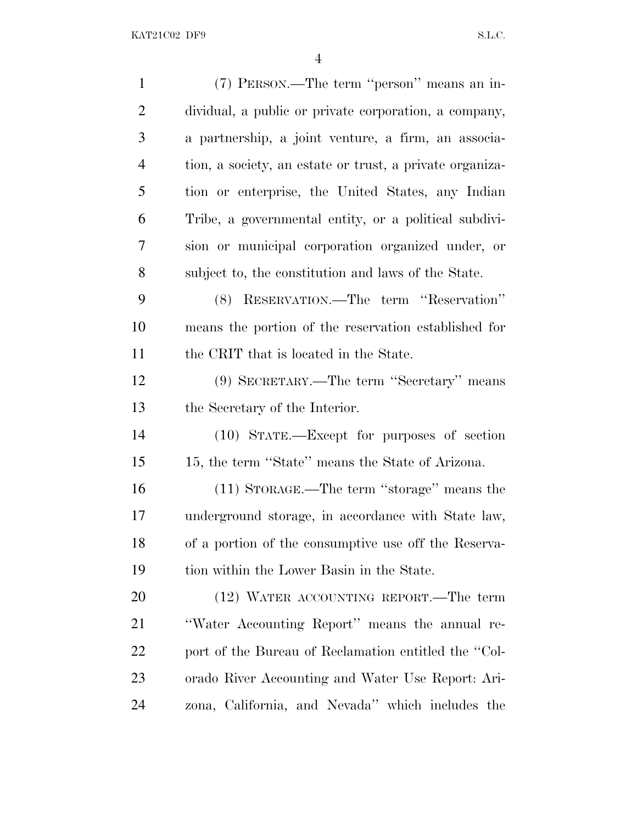| $\mathbf{1}$   | (7) PERSON.—The term "person" means an in-               |
|----------------|----------------------------------------------------------|
| $\overline{2}$ | dividual, a public or private corporation, a company,    |
| 3              | a partnership, a joint venture, a firm, an associa-      |
| $\overline{4}$ | tion, a society, an estate or trust, a private organiza- |
| 5              | tion or enterprise, the United States, any Indian        |
| 6              | Tribe, a governmental entity, or a political subdivi-    |
| 7              | sion or municipal corporation organized under, or        |
| 8              | subject to, the constitution and laws of the State.      |
| 9              | (8) RESERVATION.—The term "Reservation"                  |
| 10             | means the portion of the reservation established for     |
| 11             | the CRIT that is located in the State.                   |
| 12             | (9) SECRETARY.—The term "Secretary" means                |
| 13             | the Secretary of the Interior.                           |
| 14             | (10) STATE.—Except for purposes of section               |
| 15             | 15, the term "State" means the State of Arizona.         |
| 16             | (11) STORAGE.—The term "storage" means the               |
| 17             | underground storage, in accordance with State law,       |
| 18             | of a portion of the consumptive use off the Reserva-     |
| 19             | tion within the Lower Basin in the State.                |
| 20             | (12) WATER ACCOUNTING REPORT.—The term                   |
| 21             | "Water Accounting Report" means the annual re-           |
| 22             | port of the Bureau of Reclamation entitled the "Col-     |
| 23             | orado River Accounting and Water Use Report: Ari-        |
| 24             | zona, California, and Nevada" which includes the         |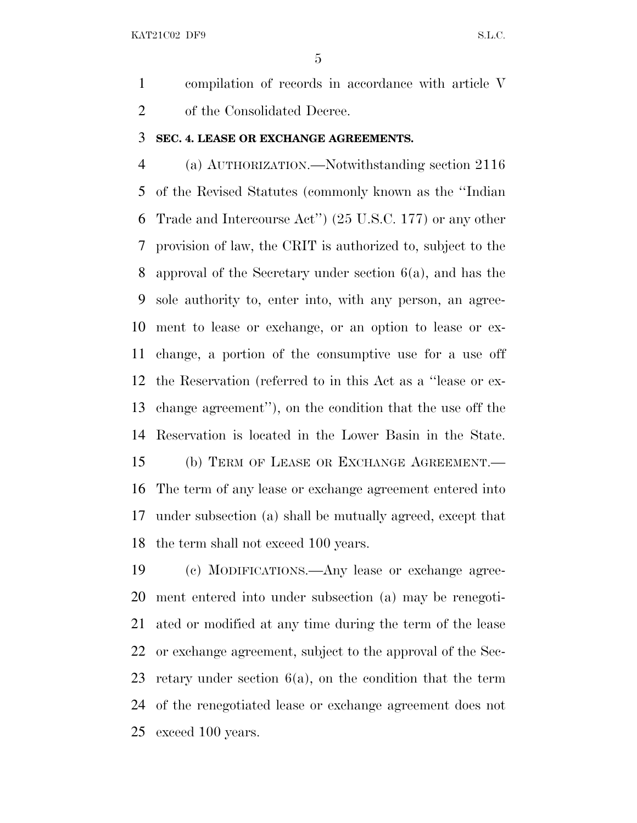compilation of records in accordance with article V of the Consolidated Decree.

#### **SEC. 4. LEASE OR EXCHANGE AGREEMENTS.**

 (a) AUTHORIZATION.—Notwithstanding section 2116 of the Revised Statutes (commonly known as the ''Indian Trade and Intercourse Act'') (25 U.S.C. 177) or any other provision of law, the CRIT is authorized to, subject to the approval of the Secretary under section 6(a), and has the sole authority to, enter into, with any person, an agree- ment to lease or exchange, or an option to lease or ex- change, a portion of the consumptive use for a use off the Reservation (referred to in this Act as a ''lease or ex- change agreement''), on the condition that the use off the Reservation is located in the Lower Basin in the State. (b) TERM OF LEASE OR EXCHANGE AGREEMENT.— The term of any lease or exchange agreement entered into under subsection (a) shall be mutually agreed, except that the term shall not exceed 100 years.

 (c) MODIFICATIONS.—Any lease or exchange agree- ment entered into under subsection (a) may be renegoti- ated or modified at any time during the term of the lease or exchange agreement, subject to the approval of the Sec- retary under section 6(a), on the condition that the term of the renegotiated lease or exchange agreement does not exceed 100 years.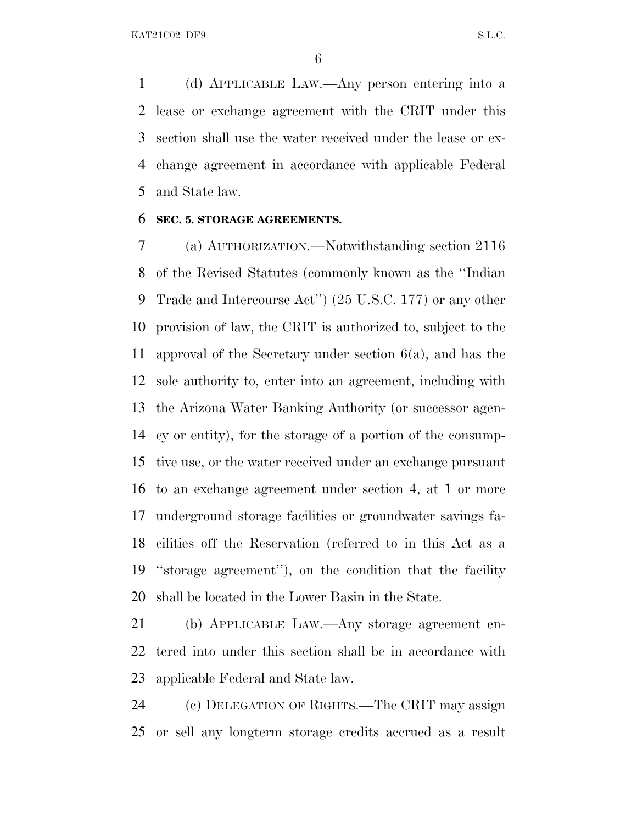(d) APPLICABLE LAW.—Any person entering into a lease or exchange agreement with the CRIT under this section shall use the water received under the lease or ex- change agreement in accordance with applicable Federal and State law.

#### **SEC. 5. STORAGE AGREEMENTS.**

 (a) AUTHORIZATION.—Notwithstanding section 2116 of the Revised Statutes (commonly known as the ''Indian Trade and Intercourse Act'') (25 U.S.C. 177) or any other provision of law, the CRIT is authorized to, subject to the approval of the Secretary under section 6(a), and has the sole authority to, enter into an agreement, including with the Arizona Water Banking Authority (or successor agen- cy or entity), for the storage of a portion of the consump- tive use, or the water received under an exchange pursuant to an exchange agreement under section 4, at 1 or more underground storage facilities or groundwater savings fa- cilities off the Reservation (referred to in this Act as a ''storage agreement''), on the condition that the facility shall be located in the Lower Basin in the State.

 (b) APPLICABLE LAW.—Any storage agreement en- tered into under this section shall be in accordance with applicable Federal and State law.

 (c) DELEGATION OF RIGHTS.—The CRIT may assign or sell any longterm storage credits accrued as a result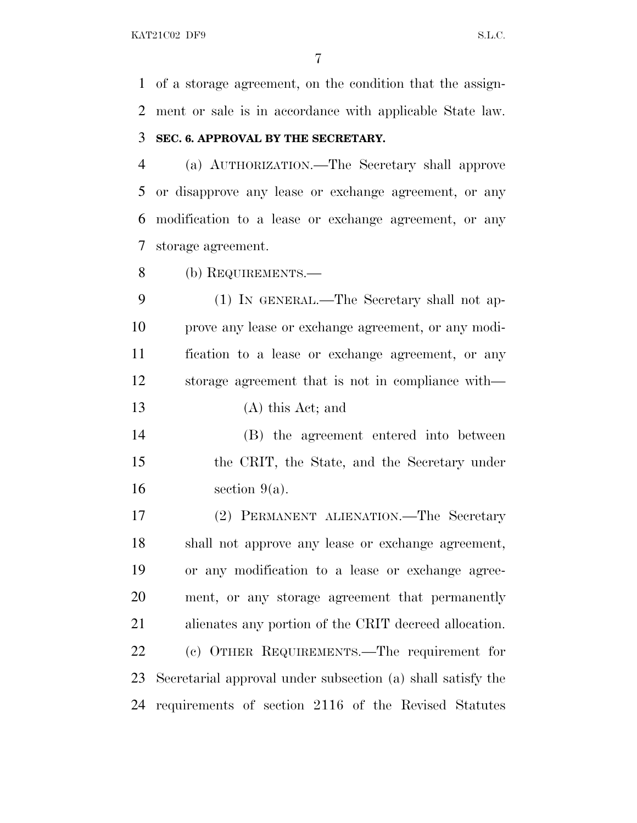of a storage agreement, on the condition that the assign-ment or sale is in accordance with applicable State law.

#### **SEC. 6. APPROVAL BY THE SECRETARY.**

 (a) AUTHORIZATION.—The Secretary shall approve or disapprove any lease or exchange agreement, or any modification to a lease or exchange agreement, or any storage agreement.

(b) REQUIREMENTS.—

 (1) IN GENERAL.—The Secretary shall not ap- prove any lease or exchange agreement, or any modi- fication to a lease or exchange agreement, or any storage agreement that is not in compliance with— (A) this Act; and

 (B) the agreement entered into between the CRIT, the State, and the Secretary under  $16 \quad$  section  $9(a)$ .

 (2) PERMANENT ALIENATION.—The Secretary shall not approve any lease or exchange agreement, or any modification to a lease or exchange agree- ment, or any storage agreement that permanently alienates any portion of the CRIT decreed allocation. (c) OTHER REQUIREMENTS.—The requirement for Secretarial approval under subsection (a) shall satisfy the requirements of section 2116 of the Revised Statutes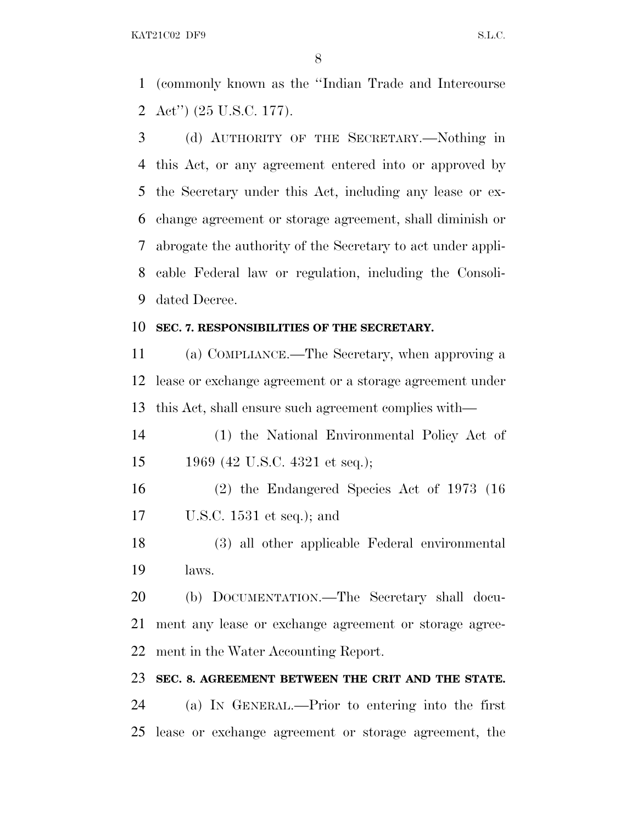(commonly known as the ''Indian Trade and Intercourse Act'') (25 U.S.C. 177).

 (d) AUTHORITY OF THE SECRETARY.—Nothing in this Act, or any agreement entered into or approved by the Secretary under this Act, including any lease or ex- change agreement or storage agreement, shall diminish or abrogate the authority of the Secretary to act under appli- cable Federal law or regulation, including the Consoli-dated Decree.

#### **SEC. 7. RESPONSIBILITIES OF THE SECRETARY.**

 (a) COMPLIANCE.—The Secretary, when approving a lease or exchange agreement or a storage agreement under this Act, shall ensure such agreement complies with—

 (1) the National Environmental Policy Act of 1969 (42 U.S.C. 4321 et seq.);

 (2) the Endangered Species Act of 1973 (16 U.S.C. 1531 et seq.); and

 (3) all other applicable Federal environmental laws.

 (b) DOCUMENTATION.—The Secretary shall docu- ment any lease or exchange agreement or storage agree-ment in the Water Accounting Report.

#### **SEC. 8. AGREEMENT BETWEEN THE CRIT AND THE STATE.**

 (a) I<sup>N</sup> GENERAL.—Prior to entering into the first lease or exchange agreement or storage agreement, the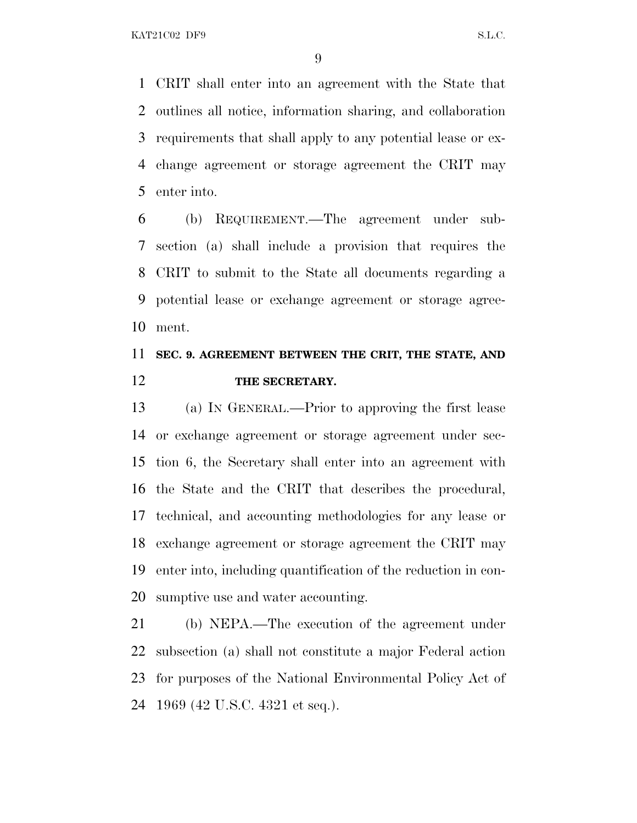CRIT shall enter into an agreement with the State that outlines all notice, information sharing, and collaboration requirements that shall apply to any potential lease or ex- change agreement or storage agreement the CRIT may enter into.

 (b) REQUIREMENT.—The agreement under sub- section (a) shall include a provision that requires the CRIT to submit to the State all documents regarding a potential lease or exchange agreement or storage agree-ment.

# **SEC. 9. AGREEMENT BETWEEN THE CRIT, THE STATE, AND THE SECRETARY.**

 (a) I<sup>N</sup> GENERAL.—Prior to approving the first lease or exchange agreement or storage agreement under sec- tion 6, the Secretary shall enter into an agreement with the State and the CRIT that describes the procedural, technical, and accounting methodologies for any lease or exchange agreement or storage agreement the CRIT may enter into, including quantification of the reduction in con-sumptive use and water accounting.

 (b) NEPA.—The execution of the agreement under subsection (a) shall not constitute a major Federal action for purposes of the National Environmental Policy Act of 1969 (42 U.S.C. 4321 et seq.).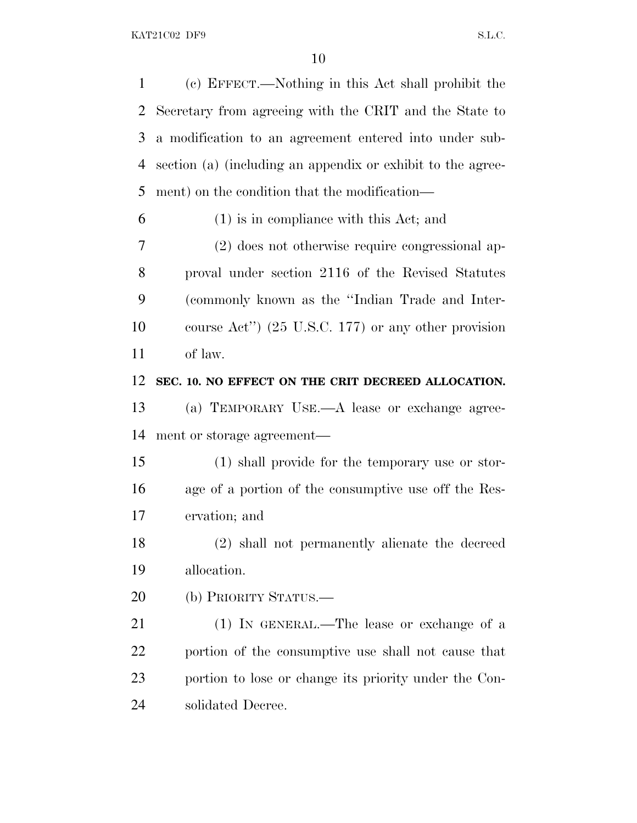(c) EFFECT.—Nothing in this Act shall prohibit the Secretary from agreeing with the CRIT and the State to a modification to an agreement entered into under sub- section (a) (including an appendix or exhibit to the agree-ment) on the condition that the modification—

(1) is in compliance with this Act; and

 (2) does not otherwise require congressional ap- proval under section 2116 of the Revised Statutes (commonly known as the ''Indian Trade and Inter- course Act'') (25 U.S.C. 177) or any other provision of law.

**SEC. 10. NO EFFECT ON THE CRIT DECREED ALLOCATION.**

 (a) TEMPORARY USE.—A lease or exchange agree-ment or storage agreement—

 (1) shall provide for the temporary use or stor- age of a portion of the consumptive use off the Res-ervation; and

 (2) shall not permanently alienate the decreed allocation.

(b) PRIORITY STATUS.—

 (1) IN GENERAL.—The lease or exchange of a portion of the consumptive use shall not cause that portion to lose or change its priority under the Con-solidated Decree.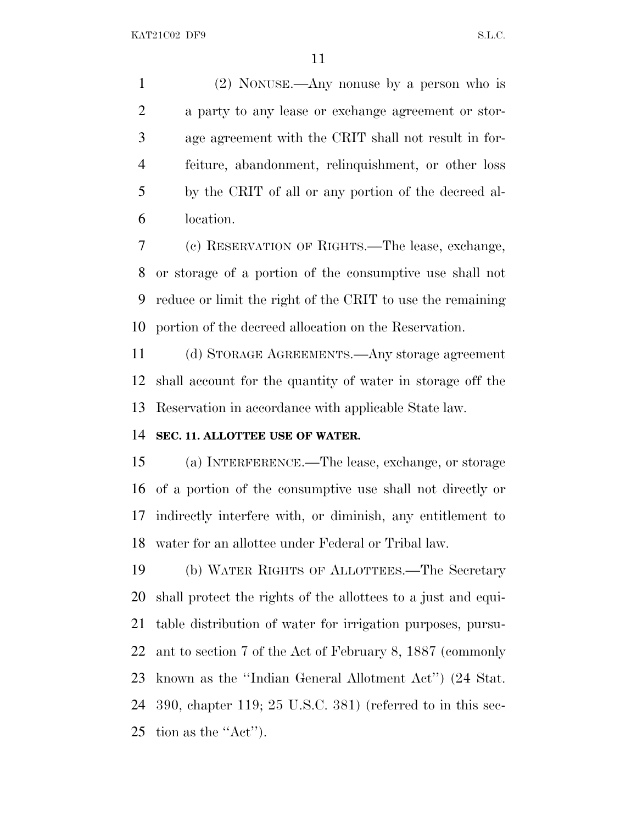(2) NONUSE.—Any nonuse by a person who is a party to any lease or exchange agreement or stor- age agreement with the CRIT shall not result in for- feiture, abandonment, relinquishment, or other loss by the CRIT of all or any portion of the decreed al-location.

 (c) RESERVATION OF RIGHTS.—The lease, exchange, or storage of a portion of the consumptive use shall not reduce or limit the right of the CRIT to use the remaining portion of the decreed allocation on the Reservation.

 (d) STORAGE AGREEMENTS.—Any storage agreement shall account for the quantity of water in storage off the Reservation in accordance with applicable State law.

### **SEC. 11. ALLOTTEE USE OF WATER.**

 (a) INTERFERENCE.—The lease, exchange, or storage of a portion of the consumptive use shall not directly or indirectly interfere with, or diminish, any entitlement to water for an allottee under Federal or Tribal law.

 (b) WATER RIGHTS OF ALLOTTEES.—The Secretary shall protect the rights of the allottees to a just and equi- table distribution of water for irrigation purposes, pursu- ant to section 7 of the Act of February 8, 1887 (commonly known as the ''Indian General Allotment Act'') (24 Stat. 390, chapter 119; 25 U.S.C. 381) (referred to in this sec-tion as the ''Act'').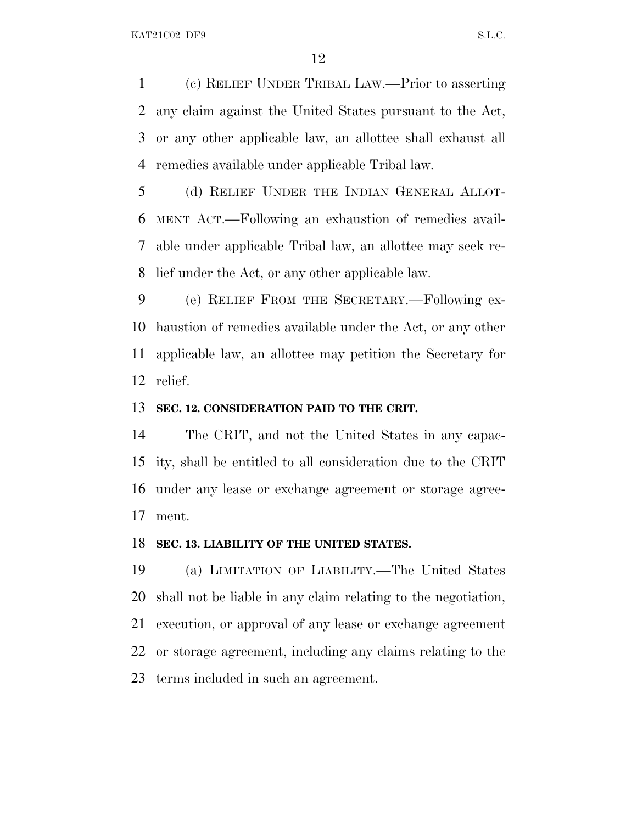(c) RELIEF UNDER TRIBAL LAW.—Prior to asserting any claim against the United States pursuant to the Act, or any other applicable law, an allottee shall exhaust all remedies available under applicable Tribal law.

 (d) RELIEF UNDER THE INDIAN GENERAL ALLOT- MENT ACT.—Following an exhaustion of remedies avail- able under applicable Tribal law, an allottee may seek re-lief under the Act, or any other applicable law.

 (e) RELIEF FROM THE SECRETARY.—Following ex- haustion of remedies available under the Act, or any other applicable law, an allottee may petition the Secretary for relief.

#### **SEC. 12. CONSIDERATION PAID TO THE CRIT.**

 The CRIT, and not the United States in any capac- ity, shall be entitled to all consideration due to the CRIT under any lease or exchange agreement or storage agree-ment.

#### **SEC. 13. LIABILITY OF THE UNITED STATES.**

 (a) LIMITATION OF LIABILITY.—The United States shall not be liable in any claim relating to the negotiation, execution, or approval of any lease or exchange agreement or storage agreement, including any claims relating to the terms included in such an agreement.